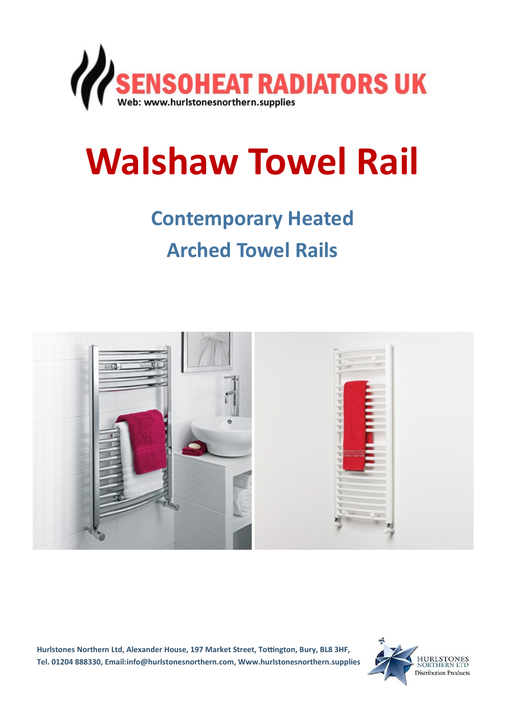

# **Walshaw Towel Rail**

## **Contemporary Heated Arched Towel Rails**



**Hurlstones Northern Ltd, Alexander House, 197 Market Street, Tottington, Bury, BL8 3HF, Tel. 01204 888330, Email:info@hurlstonesnorthern.com, Www.hurlstonesnorthern.supplies**